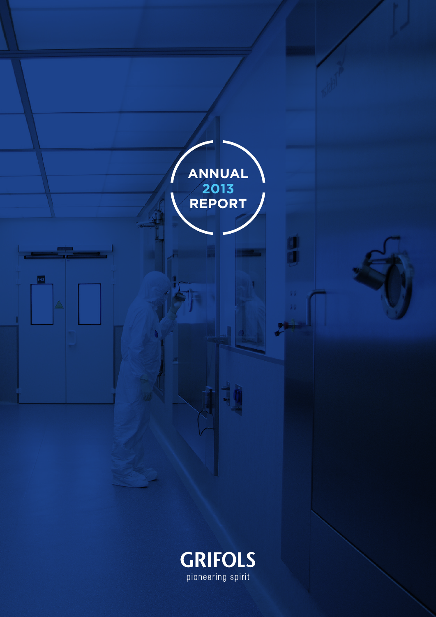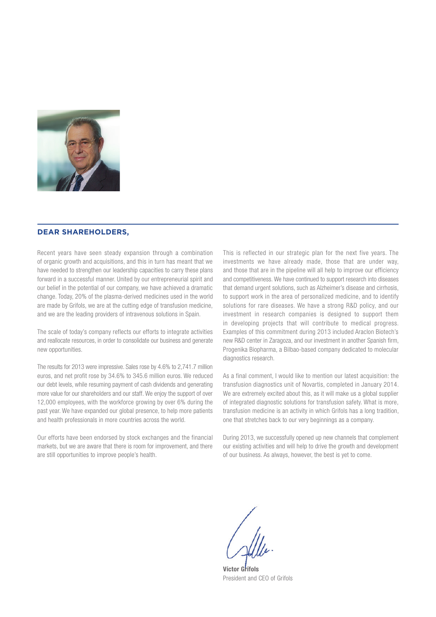

### **DEAR SHAREHOLDERS,**

Recent years have seen steady expansion through a combination of organic growth and acquisitions, and this in turn has meant that we have needed to strengthen our leadership capacities to carry these plans forward in a successful manner. United by our entrepreneurial spirit and our belief in the potential of our company, we have achieved a dramatic change. Today, 20% of the plasma-derived medicines used in the world are made by Grifols, we are at the cutting edge of transfusion medicine, and we are the leading providers of intravenous solutions in Spain.

The scale of today's company reflects our efforts to integrate activities and reallocate resources, in order to consolidate our business and generate new opportunities.

The results for 2013 were impressive. Sales rose by 4.6% to 2,741.7 million euros, and net profit rose by 34.6% to 345.6 million euros. We reduced our debt levels, while resuming payment of cash dividends and generating more value for our shareholders and our staff. We enjoy the support of over 12,000 employees, with the workforce growing by over 6% during the past year. We have expanded our global presence, to help more patients and health professionals in more countries across the world.

Our efforts have been endorsed by stock exchanges and the financial markets, but we are aware that there is room for improvement, and there are still opportunities to improve people's health.

This is reflected in our strategic plan for the next five years. The investments we have already made, those that are under way, and those that are in the pipeline will all help to improve our efficiency and competitiveness. We have continued to support research into diseases that demand urgent solutions, such as Alzheimer's disease and cirrhosis, to support work in the area of personalized medicine, and to identify solutions for rare diseases. We have a strong R&D policy, and our investment in research companies is designed to support them in developing projects that will contribute to medical progress. Examples of this commitment during 2013 included Araclon Biotech's new R&D center in Zaragoza, and our investment in another Spanish firm, Progenika Biopharma, a Bilbao-based company dedicated to molecular diagnostics research.

As a final comment, I would like to mention our latest acquisition: the transfusion diagnostics unit of Novartis, completed in January 2014. We are extremely excited about this, as it will make us a global supplier of integrated diagnostic solutions for transfusion safety. What is more, transfusion medicine is an activity in which Grifols has a long tradition, one that stretches back to our very beginnings as a company.

During 2013, we successfully opened up new channels that complement our existing activities and will help to drive the growth and development of our business. As always, however, the best is yet to come.

**Víctor Grífols** President and CEO of Grifols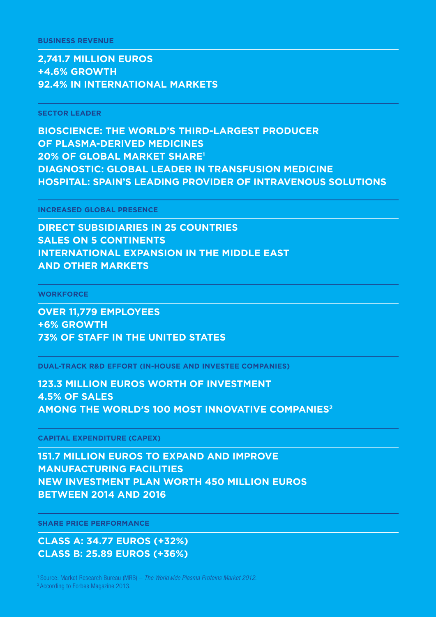**BUSINESS REVENUE**

**2,741.7 MILLION EUROS +4.6% GROWTH 92.4% IN INTERNATIONAL MARKETS**

**SECTOR LEADER**

**BIOSCIENCE: THE WORLD'S THIRD-LARGEST PRODUCER OF PLASMA-DERIVED MEDICINES 20% OF GLOBAL MARKET SHARE1 DIAGNOSTIC: GLOBAL LEADER IN TRANSFUSION MEDICINE HOSPITAL: SPAIN'S LEADING PROVIDER OF INTRAVENOUS SOLUTIONS**

**INCREASED GLOBAL PRESENCE**

**DIRECT SUBSIDIARIES IN 25 COUNTRIES SALES ON 5 CONTINENTS INTERNATIONAL EXPANSION IN THE MIDDLE EAST AND OTHER MARKETS**

**WORKFORCE**

**OVER 11,779 EMPLOYEES +6% GROWTH 73% OF STAFF IN THE UNITED STATES**

**DUAL-TRACK R&D EFFORT (IN-HOUSE AND INVESTEE COMPANIES)**

**123.3 MILLION EUROS WORTH OF INVESTMENT 4.5% OF SALES AMONG THE WORLD'S 100 MOST INNOVATIVE COMPANIES2**

**CAPITAL EXPENDITURE (CAPEX)**

**151.7 MILLION EUROS TO EXPAND AND IMPROVE MANUFACTURING FACILITIES NEW INVESTMENT PLAN WORTH 450 MILLION EUROS BETWEEN 2014 AND 2016**

**SHARE PRICE PERFORMANCE**

**CLASS A: 34.77 EUROS (+32%) CLASS B: 25.89 EUROS (+36%)**

1 Source: Market Research Bureau (MRB) – *The Worldwide Plasma Proteins Market 2012*. 2 According to Forbes Magazine 2013.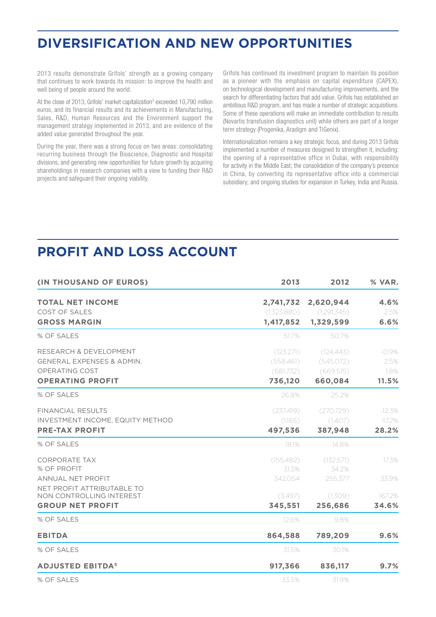### **DIVERSIFICATION AND NEW OPPORTUNITIES**

2013 results demonstrate Grifols' strength as a growing company that continues to work towards its mission: to improve the health and well being of people around the world.

At the close of 2013, Grifols' market capitalization<sup>3</sup> exceeded 10,790 million euros, and its financial results and its achievements in Manufacturing, Sales, R&D, Human Resources and the Environment support the management strategy implemented in 2013, and are evidence of the added value generated throughout the year.

During the year, there was a strong focus on two areas: consolidating recurring business through the Bioscience, Diagnostic and Hospital divisions, and generating new opportunities for future growth by acquiring shareholdings in research companies with a view to funding their R&D projects and safeguard their ongoing viability.

Grifols has continued its investment program to maintain its position as a pioneer with the emphasis on capital expenditure (CAPEX), on technological development and manufacturing improvements, and the search for differentiating factors that add value. Grifols has established an ambitious R&D program, and has made a number of strategic acquisitions. Some of these operations will make an immediate contribution to results (Novartis transfusion diagnostics unit) while others are part of a longer term strategy (Progenika, Aradigm and TiGenix).

Internationalization remains a key strategic focus, and during 2013 Grifols implemented a number of measures designed to strengthen it, including: the opening of a representative office in Dubai, with responsibility for activity in the Middle East; the consolidation of the company's presence in China, by converting its representative office into a commercial subsidiary; and ongoing studies for expansion in Turkey, India and Russia.

### **PROFIT AND LOSS ACCOUNT**

| (IN THOUSAND OF EUROS)                                 | 2013        | 2012        | % VAR.    |
|--------------------------------------------------------|-------------|-------------|-----------|
| <b>TOTAL NET INCOME</b>                                | 2,741,732   | 2,620,944   | 4.6%      |
| COST OF SALES                                          | (1,323,880) | (1,291,345) | 2.5%      |
| <b>GROSS MARGIN</b>                                    | 1,417,852   | 1,329,599   | 6.6%      |
| % OF SALES                                             | 51.7%       | 50.7%       |           |
| RESEARCH & DEVELOPMENT                                 | (123, 271)  | (124.443)   | $-0.9\%$  |
| <b>GENERAL EXPENSES &amp; ADMIN.</b>                   | (558, 461)  | (545,072)   | 2.5%      |
| OPERATING COST                                         | (681,732)   | (669, 515)  | 1.8%      |
| <b>OPERATING PROFIT</b>                                | 736,120     | 660,084     | 11.5%     |
| % OF SALES                                             | 26.8%       | 25.2%       |           |
| <b>FINANCIAL RESULTS</b>                               | (237, 419)  | (270.729)   | $-12.3\%$ |
| INVESTMENT INCOME, EQUITY METHOD                       | (1,165)     | (1,407)     | $-17.2\%$ |
| <b>PRE-TAX PROFIT</b>                                  | 497,536     | 387,948     | 28.2%     |
| % OF SALES                                             | 18.1%       | 14.8%       |           |
| <b>CORPORATE TAX</b>                                   | (155, 482)  | (132, 571)  | 17.3%     |
| % OF PROFIT                                            | 31.3%       | 34.2%       |           |
| <b>ANNUAL NET PROFIT</b>                               | 342.054     | 255.377     | 33.9%     |
| NET PROFIT ATTRIBUTABLE TO<br>NON CONTROLLING INTEREST | (3.497)     | (1.309)     | 167.2%    |
| <b>GROUP NET PROFIT</b>                                | 345,551     | 256,686     | 34.6%     |
| % OF SALES                                             | 12.6%       | 9.8%        |           |
| <b>EBITDA</b>                                          | 864,588     | 789,209     | 9.6%      |
| % OF SALES                                             | 31.5%       | 30.1%       |           |
| <b>ADJUSTED EBITDA<sup>5</sup></b>                     | 917,366     | 836,117     | 9.7%      |
| % OF SALES                                             | 33.5%       | 31.9%       |           |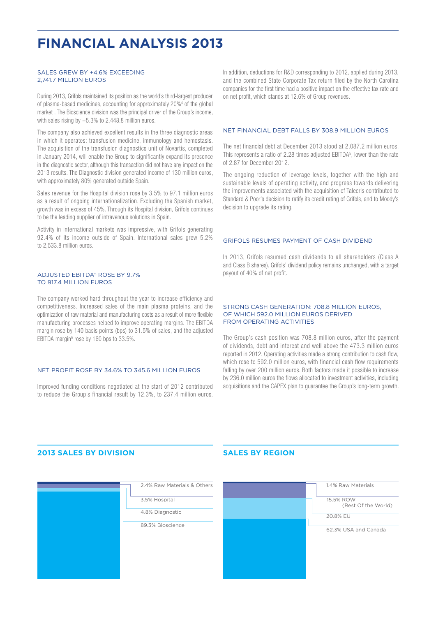## **FINANCIAL ANALYSIS 2013**

### SALES GREW BY +4.6% EXCEEDING 2,741.7 MILLION EUROS

During 2013, Grifols maintained its position as the world's third-largest producer of plasma-based medicines, accounting for approximately 20%4 of the global market . The Bioscience division was the principal driver of the Group's income, with sales rising by +5.3% to 2,448.8 million euros.

The company also achieved excellent results in the three diagnostic areas in which it operates: transfusion medicine, immunology and hemostasis. The acquisition of the transfusion diagnostics unit of Novartis, completed in January 2014, will enable the Group to significantly expand its presence in the diagnostic sector, although this transaction did not have any impact on the 2013 results. The Diagnostic division generated income of 130 million euros, with approximately 80% generated outside Spain.

Sales revenue for the Hospital division rose by 3.5% to 97.1 million euros as a result of ongoing internationalization. Excluding the Spanish market, growth was in excess of 45%. Through its Hospital division, Grifols continues to be the leading supplier of intravenous solutions in Spain.

Activity in international markets was impressive, with Grifols generating 92.4% of its income outside of Spain. International sales grew 5.2% to 2,533.8 million euros.

#### ADJUSTED EBITDA5 ROSE BY 9.7% TO 917.4 MILLION EUROS

The company worked hard throughout the year to increase efficiency and competitiveness. Increased sales of the main plasma proteins, and the optimization of raw material and manufacturing costs as a result of more flexible manufacturing processes helped to improve operating margins. The EBITDA margin rose by 140 basis points (bps) to 31.5% of sales, and the adjusted EBITDA margin<sup>5</sup> rose by 160 bps to  $33.5\%$ .

#### NET PROFIT ROSE BY 34.6% TO 345.6 MILLION EUROS

Improved funding conditions negotiated at the start of 2012 contributed to reduce the Group's financial result by 12.3%, to 237.4 million euros. In addition, deductions for R&D corresponding to 2012, applied during 2013, and the combined State Corporate Tax return filed by the North Carolina companies for the first time had a positive impact on the effective tax rate and on net profit, which stands at 12.6% of Group revenues.

### NET FINANCIAL DEBT FALLS BY 308.9 MILLION EUROS

The net financial debt at December 2013 stood at 2,087.2 million euros. This represents a ratio of 2.28 times adjusted EBITDA<sup>5</sup>, lower than the rate of 2.87 for December 2012.

The ongoing reduction of leverage levels, together with the high and sustainable levels of operating activity, and progress towards delivering the improvements associated with the acquisition of Talecris contributed to Standard & Poor's decision to ratify its credit rating of Grifols, and to Moody's decision to upgrade its rating.

#### GRIFOLS RESUMES PAYMENT OF CASH DIVIDEND

In 2013, Grifols resumed cash dividends to all shareholders (Class A and Class B shares). Grifols' dividend policy remains unchanged, with a target payout of 40% of net profit.

#### STRONG CASH GENERATION: 708.8 MILLION EUROS, OF WHICH 592.0 MILLION EUROS DERIVED FROM OPERATING ACTIVITIES

The Group's cash position was 708.8 million euros, after the payment of dividends, debt and interest and well above the 473.3 million euros reported in 2012. Operating activities made a strong contribution to cash flow, which rose to 592.0 million euros, with financial cash flow requirements falling by over 200 million euros. Both factors made it possible to increase by 236.0 million euros the flows allocated to investment activities, including acquisitions and the CAPEX plan to guarantee the Group's long-term growth.

### **2013 SALES BY DIVISION SALES BY REGION**



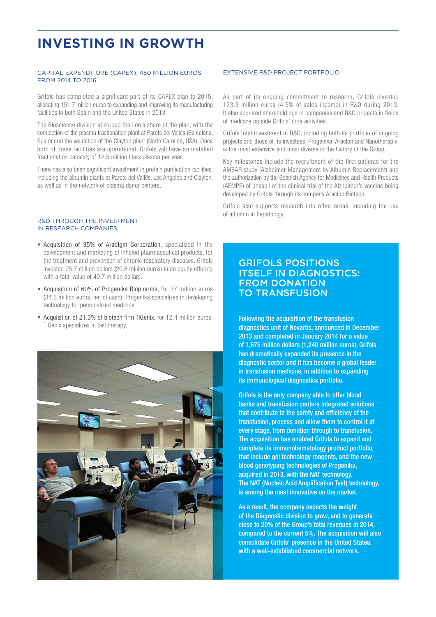# **INVESTING IN GROWTH**

### CAPITAL EXPENDITURE (CAPEX): 450 MILLION EUROS FROM 2014 TO 2016

Grifols has completed a significant part of its CAPEX plan to 2015, allocating 151.7 million euros to expanding and improving its manufacturing facilities in both Spain and the United States in 2013.

The Bioscience division absorbed the lion's share of the plan, with the completion of the plasma fractionation plant at Parets del Vallès (Barcelona, Spain) and the validation of the Clayton plant (North Carolina, USA). Once both of these facilities are operational, Grifols will have an installed fractionation capacity of 12.5 million liters plasma per year.

There has also been significant investment in protein purification facilities, including the albumin plants at Parets del Vallès, Los Angeles and Clayton, as well as in the network of plasma donor centers.

### R&D THROUGH THE INVESTMENT IN RESEARCH COMPANIES:

- Acquisition of 35% of Aradigm Corporation, specialized in the development and marketing of inhaled pharmaceutical products, for the treatment and prevention of chronic respiratory diseases. Grifols invested 25.7 million dollars (20.6 million euros) in an equity offering with a total value of 40.7 million dollars.
- Acquisition of 60% of Progenika Biopharma, for 37 million euros (34.6 million euros, net of cash). Progenika specializes in developing technology for personalized medicine
- Acquisition of 21.3% of biotech firm TiGenix, for 12.4 million euros. TiGenix specializes in cell therapy.



#### EXTENSIVE R&D PROJECT PORTFOLIO

As part of its ongoing commitment to research, Grifols invested 123.3 million euros (4.5% of sales income) in R&D during 2013. It also acquired shareholdings in companies and R&D projects in fields of medicine outside Grifols' core activities.

Grifols total investment in R&D, including both its portfolio of ongoing projects and those of its investees, Progenika, Araclon and Nanotherapix, is the most extensive and most diverse in the history of the Group.

Key milestones include the recruitment of the first patients for the AMBAR study (Alzheimer Management by Albumin Replacement) and the authorization by the Spanish Agency for Medicines and Health Products (AEMPS) of phase I of the clinical trial of the Alzheimer's vaccine being developed by Grifols through its company Araclon Biotech.

Grifols also supports research into other areas, including the use of albumin in hepatology.

### GRIFOLS POSITIONS ITSELF IN DIAGNOSTICS: FROM DONATION TO TRANSFUSION

Following the acquisition of the transfusion diagnostics unit of Novartis, announced in December 2013 and completed in January 2014 for a value of 1,675 million dollars (1,240 million euros), Grifols has dramatically expanded its presence in the diagnostic sector and it has become a global leader in transfusion medicine, in addition to expanding its immunological diagnostics portfolio.

Grifols is the only company able to offer blood banks and transfusion centers integrated solutions that contribute to the safety and efficiency of the transfusion, process and allow them to control it at every stage, from donation through to transfusion. The acquisition has enabled Grifols to expand and complete its immunohematology product portfolio, that include gel technology reagents, and the new blood genotyping technologies of Progenika, acquired in 2013, with the NAT technology. The NAT (Nucleic Acid Amplification Test) technology, is among the most innovative on the market.

As a result, the company expects the weight of the Diagnostic division to grow, and to generate close to 20% of the Group's total revenues in 2014, compared to the current 5%. The acquisition will also consolidate Grifols' presence in the United States, with a well-established commercial network.